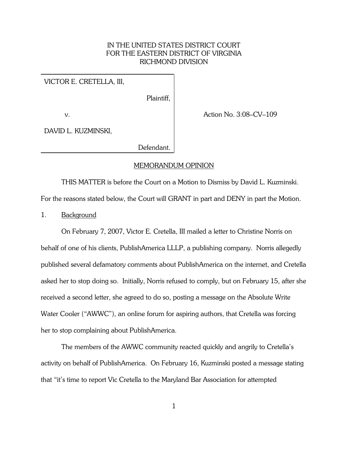# IN THE UNITED STATES DISTRICT COURT FOR THE EASTERN DISTRICT OF VIRGINIA RICHMOND DIVISION

## VICTOR E. CRETELLA, III,

Plaintiff,

v.

Action No. 3:08–CV–109

DAVID L. KUZMINSKI,

Defendant.

#### MEMORANDUM OPINION

THIS MATTER is before the Court on a Motion to Dismiss by David L. Kuzminski.

For the reasons stated below, the Court will GRANT in part and DENY in part the Motion.

1. Background

On February 7, 2007, Victor E. Cretella, III mailed a letter to Christine Norris on behalf of one of his clients, PublishAmerica LLLP, a publishing company. Norris allegedly published several defamatory comments about PublishAmerica on the internet, and Cretella asked her to stop doing so. Initially, Norris refused to comply, but on February 15, after she received a second letter, she agreed to do so, posting a message on the Absolute Write Water Cooler ("AWWC"), an online forum for aspiring authors, that Cretella was forcing her to stop complaining about PublishAmerica.

The members of the AWWC community reacted quickly and angrily to Cretella's activity on behalf of PublishAmerica. On February 16, Kuzminski posted a message stating that "it's time to report Vic Cretella to the Maryland Bar Association for attempted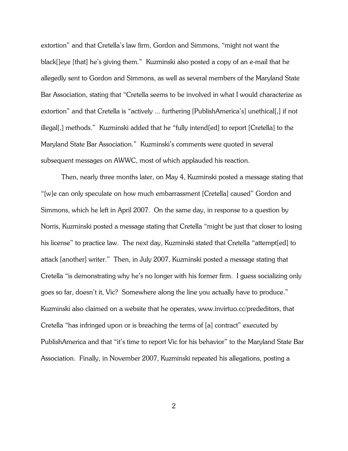extortion" and that Cretella's law firm, Gordon and Simmons, "might not want the black[]eye [that] he's giving them." Kuzminski also posted a copy of an e-mail that he allegedly sent to Gordon and Simmons, as well as several members of the Maryland State Bar Association, stating that "Cretella seems to be involved in what I would characterize as extortion" and that Cretella is "actively ... furthering [PublishAmerica's] unethical[,] if not illegal[,] methods." Kuzminski added that he "fully intend[ed] to report [Cretella] to the Maryland State Bar Association." Kuzminski's comments were quoted in several subsequent messages on AWWC, most of which applauded his reaction.

Then, nearly three months later, on May 4, Kuzminski posted a message stating that "[w]e can only speculate on how much embarrassment [Cretella] caused" Gordon and Simmons, which he left in April 2007. On the same day, in response to a question by Norris, Kuzminski posted a message stating that Cretella "might be just that closer to losing his license" to practice law. The next day, Kuzminski stated that Cretella "attempt[ed] to attack [another] writer." Then, in July 2007, Kuzminski posted a message stating that Cretella "is demonstrating why he's no longer with his former firm. I guess socializing only goes so far, doesn't it, Vic? Somewhere along the line you actually have to produce." Kuzminski also claimed on a website that he operates, www.invirtuo.cc/prededitors, that Cretella "has infringed upon or is breaching the terms of [a] contract" executed by PublishAmerica and that "it's time to report Vic for his behavior" to the Maryland State Bar Association. Finally, in November 2007, Kuzminski repeated his allegations, posting a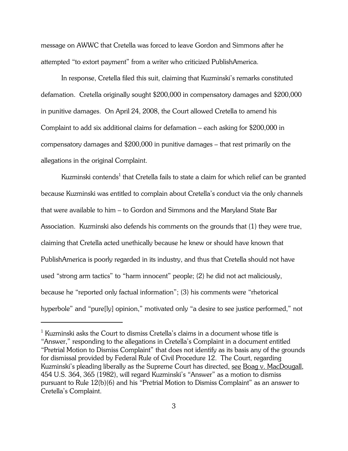message on AWWC that Cretella was forced to leave Gordon and Simmons after he attempted "to extort payment" from a writer who criticized PublishAmerica.

In response, Cretella filed this suit, claiming that Kuzminski's remarks constituted defamation. Cretella originally sought \$200,000 in compensatory damages and \$200,000 in punitive damages. On April 24, 2008, the Court allowed Cretella to amend his Complaint to add six additional claims for defamation – each asking for \$200,000 in compensatory damages and \$200,000 in punitive damages – that rest primarily on the allegations in the original Complaint.

Kuzminski contends $^{\rm 1}$  that Cretella fails to state a claim for which relief can be granted because Kuzminski was entitled to complain about Cretella's conduct via the only channels that were available to him – to Gordon and Simmons and the Maryland State Bar Association. Kuzminski also defends his comments on the grounds that (1) they were true, claiming that Cretella acted unethically because he knew or should have known that PublishAmerica is poorly regarded in its industry, and thus that Cretella should not have used "strong arm tactics" to "harm innocent" people; (2) he did not act maliciously, because he "reported only factual information"; (3) his comments were "rhetorical hyperbole" and "pure[ly] opinion," motivated only "a desire to see justice performed," not

 $^1$  Kuzminski asks the Court to dismiss Cretella's claims in a document whose title is "Answer," responding to the allegations in Cretella's Complaint in a document entitled "Pretrial Motion to Dismiss Complaint" that does not identify as its basis any of the grounds for dismissal provided by Federal Rule of Civil Procedure 12. The Court, regarding Kuzminski's pleading liberally as the Supreme Court has directed, see Boag v. MacDougall, 454 U.S. 364, 365 (1982), will regard Kuzminski's "Answer" as a motion to dismiss pursuant to Rule 12(b)(6) and his "Pretrial Motion to Dismiss Complaint" as an answer to Cretella's Complaint.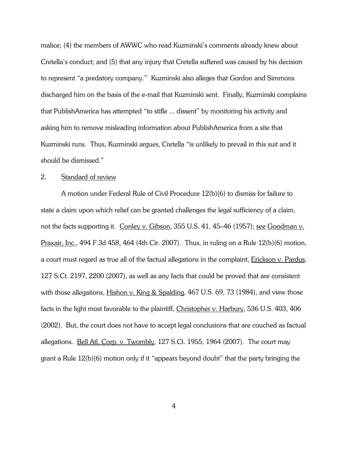malice; (4) the members of AWWC who read Kuzminski's comments already knew about Cretella's conduct; and (5) that any injury that Cretella suffered was caused by his decision to represent "a predatory company." Kuzminski also alleges that Gordon and Simmons discharged him on the basis of the e-mail that Kuzminski sent. Finally, Kuzminski complains that PublishAmerica has attempted "to stifle ... dissent" by monitoring his activity and asking him to remove misleading information about PublishAmerica from a site that Kuzminski runs. Thus, Kuzminski argues, Cretella "is unlikely to prevail in this suit and it should be dismissed."

## 2. Standard of review

A motion under Federal Rule of Civil Procedure 12(b)(6) to dismiss for failure to state a claim upon which relief can be granted challenges the legal sufficiency of a claim, not the facts supporting it. Conley v. Gibson, 355 U.S. 41, 45–46 (1957); see Goodman v. Praxair, Inc., 494 F.3d 458, 464 (4th Cir. 2007). Thus, in ruling on a Rule  $12(b)(6)$  motion, a court must regard as true all of the factual allegations in the complaint, Erickson v. Pardus, 127 S.Ct. 2197, 2200 (2007), as well as any facts that could be proved that are consistent with those allegations, Hishon v. King & Spalding, 467 U.S. 69, 73 (1984), and view those facts in the light most favorable to the plaintiff, Christopher v. Harbury, 536 U.S. 403, 406 (2002). But, the court does not have to accept legal conclusions that are couched as factual allegations. Bell Atl. Corp. v. Twombly, 127 S.Ct. 1955, 1964 (2007). The court may grant a Rule 12(b)(6) motion only if it "appears beyond doubt" that the party bringing the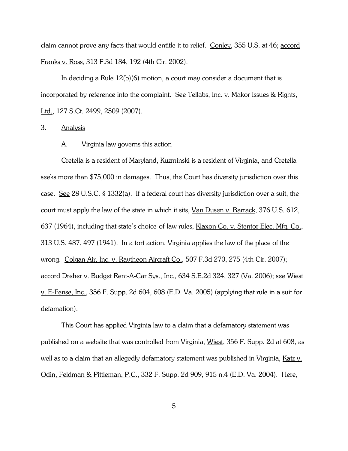claim cannot prove any facts that would entitle it to relief. Conley, 355 U.S. at 46; accord Franks v. Ross, 313 F.3d 184, 192 (4th Cir. 2002).

In deciding a Rule  $12(b)(6)$  motion, a court may consider a document that is incorporated by reference into the complaint. See Tellabs, Inc. v. Makor Issues & Rights, Ltd., 127 S.Ct. 2499, 2509 (2007).

#### 3. Analysis

#### A. Virginia law governs this action

Cretella is a resident of Maryland, Kuzminski is a resident of Virginia, and Cretella seeks more than \$75,000 in damages. Thus, the Court has diversity jurisdiction over this case. See 28 U.S.C. § 1332(a). If a federal court has diversity jurisdiction over a suit, the court must apply the law of the state in which it sits, Van Dusen v. Barrack, 376 U.S. 612, 637 (1964), including that state's choice-of-law rules, Klaxon Co. v. Stentor Elec. Mfg. Co., 313 U.S. 487, 497 (1941). In a tort action, Virginia applies the law of the place of the wrong. Colgan Air, Inc. v. Raytheon Aircraft Co., 507 F.3d 270, 275 (4th Cir. 2007); accord Dreher v. Budget Rent-A-Car Sys., Inc., 634 S.E.2d 324, 327 (Va. 2006); see Wiest v. E-Fense, Inc., 356 F. Supp. 2d 604, 608 (E.D. Va. 2005) (applying that rule in a suit for defamation).

This Court has applied Virginia law to a claim that a defamatory statement was published on a website that was controlled from Virginia, Wiest, 356 F. Supp. 2d at 608, as well as to a claim that an allegedly defamatory statement was published in Virginia, Katz v. Odin, Feldman & Pittleman, P.C., 332 F. Supp. 2d 909, 915 n.4 (E.D. Va. 2004). Here,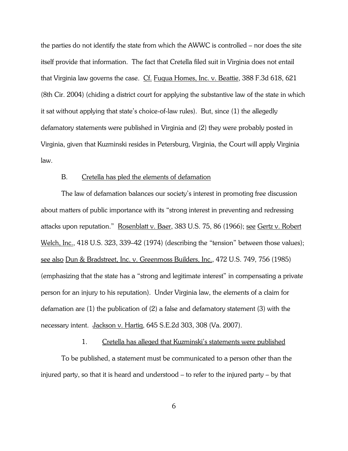the parties do not identify the state from which the AWWC is controlled – nor does the site itself provide that information. The fact that Cretella filed suit in Virginia does not entail that Virginia law governs the case. Cf. Fuqua Homes, Inc. v. Beattie, 388 F.3d 618, 621 (8th Cir. 2004) (chiding a district court for applying the substantive law of the state in which it sat without applying that state's choice-of-law rules). But, since (1) the allegedly defamatory statements were published in Virginia and (2) they were probably posted in Virginia, given that Kuzminski resides in Petersburg, Virginia, the Court will apply Virginia law.

### B. Cretella has pled the elements of defamation

The law of defamation balances our society's interest in promoting free discussion about matters of public importance with its "strong interest in preventing and redressing attacks upon reputation." Rosenblatt v. Baer, 383 U.S. 75, 86 (1966); see Gertz v. Robert Welch, Inc., 418 U.S. 323, 339–42 (1974) (describing the "tension" between those values); see also Dun & Bradstreet, Inc. v. Greenmoss Builders, Inc., 472 U.S. 749, 756 (1985) (emphasizing that the state has a "strong and legitimate interest" in compensating a private person for an injury to his reputation). Under Virginia law, the elements of a claim for defamation are (1) the publication of (2) a false and defamatory statement (3) with the necessary intent. Jackson v. Hartig, 645 S.E.2d 303, 308 (Va. 2007).

## 1. Cretella has alleged that Kuzminski's statements were published

To be published, a statement must be communicated to a person other than the injured party, so that it is heard and understood – to refer to the injured party – by that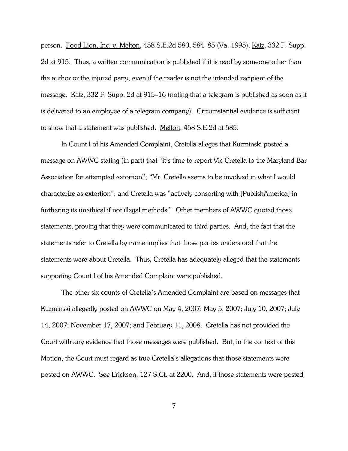person. Food Lion, Inc. v. Melton, 458 S.E.2d 580, 584–85 (Va. 1995); Katz, 332 F. Supp. 2d at 915. Thus, a written communication is published if it is read by someone other than the author or the injured party, even if the reader is not the intended recipient of the message. Katz, 332 F. Supp. 2d at 915–16 (noting that a telegram is published as soon as it is delivered to an employee of a telegram company). Circumstantial evidence is sufficient to show that a statement was published. Melton, 458 S.E.2d at 585.

In Count I of his Amended Complaint, Cretella alleges that Kuzminski posted a message on AWWC stating (in part) that "it's time to report Vic Cretella to the Maryland Bar Association for attempted extortion"; "Mr. Cretella seems to be involved in what I would characterize as extortion"; and Cretella was "actively consorting with [PublishAmerica] in furthering its unethical if not illegal methods." Other members of AWWC quoted those statements, proving that they were communicated to third parties. And, the fact that the statements refer to Cretella by name implies that those parties understood that the statements were about Cretella. Thus, Cretella has adequately alleged that the statements supporting Count I of his Amended Complaint were published.

The other six counts of Cretella's Amended Complaint are based on messages that Kuzminski allegedly posted on AWWC on May 4, 2007; May 5, 2007; July 10, 2007; July 14, 2007; November 17, 2007; and February 11, 2008. Cretella has not provided the Court with any evidence that those messages were published. But, in the context of this Motion, the Court must regard as true Cretella's allegations that those statements were posted on AWWC. See Erickson, 127 S.Ct. at 2200. And, if those statements were posted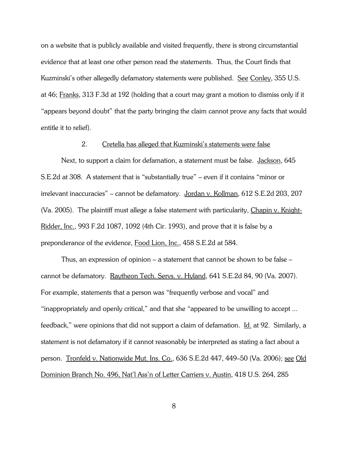on a website that is publicly available and visited frequently, there is strong circumstantial evidence that at least one other person read the statements. Thus, the Court finds that Kuzminski's other allegedly defamatory statements were published. See Conley, 355 U.S. at 46; Franks, 313 F.3d at 192 (holding that a court may grant a motion to dismiss only if it "appears beyond doubt" that the party bringing the claim cannot prove any facts that would entitle it to relief).

## 2. Cretella has alleged that Kuzminski's statements were false

Next, to support a claim for defamation, a statement must be false. Jackson, 645 S.E.2d at 308. A statement that is "substantially true" – even if it contains "minor or irrelevant inaccuracies" – cannot be defamatory. Jordan v. Kollman, 612 S.E.2d 203, 207 (Va. 2005). The plaintiff must allege a false statement with particularity, Chapin v. Knight-Ridder, Inc., 993 F.2d 1087, 1092 (4th Cir. 1993), and prove that it is false by a preponderance of the evidence, Food Lion, Inc., 458 S.E.2d at 584.

Thus, an expression of opinion – a statement that cannot be shown to be false – cannot be defamatory. Raytheon Tech. Servs. v. Hyland, 641 S.E.2d 84, 90 (Va. 2007). For example, statements that a person was "frequently verbose and vocal" and "inappropriately and openly critical," and that she "appeared to be unwilling to accept ... feedback," were opinions that did not support a claim of defamation. Id. at 92. Similarly, a statement is not defamatory if it cannot reasonably be interpreted as stating a fact about a person. Tronfeld v. Nationwide Mut. Ins. Co., 636 S.E.2d 447, 449–50 (Va. 2006); see Old Dominion Branch No. 496, Nat'l Ass'n of Letter Carriers v. Austin, 418 U.S. 264, 285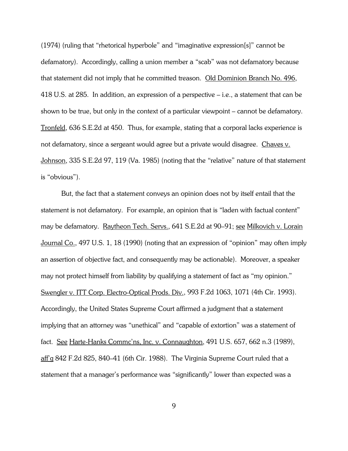(1974) (ruling that "rhetorical hyperbole" and "imaginative expression[s]" cannot be defamatory). Accordingly, calling a union member a "scab" was not defamatory because that statement did not imply that he committed treason. Old Dominion Branch No. 496, 418 U.S. at 285. In addition, an expression of a perspective – i.e., a statement that can be shown to be true, but only in the context of a particular viewpoint – cannot be defamatory. Tronfeld, 636 S.E.2d at 450. Thus, for example, stating that a corporal lacks experience is not defamatory, since a sergeant would agree but a private would disagree. Chaves v. Johnson, 335 S.E.2d 97, 119 (Va. 1985) (noting that the "relative" nature of that statement is "obvious").

But, the fact that a statement conveys an opinion does not by itself entail that the statement is not defamatory. For example, an opinion that is "laden with factual content" may be defamatory. Raytheon Tech. Servs., 641 S.E.2d at 90–91; see Milkovich v. Lorain Journal Co., 497 U.S. 1, 18 (1990) (noting that an expression of "opinion" may often imply an assertion of objective fact, and consequently may be actionable). Moreover, a speaker may not protect himself from liability by qualifying a statement of fact as "my opinion." Swengler v. ITT Corp. Electro-Optical Prods. Div., 993 F.2d 1063, 1071 (4th Cir. 1993). Accordingly, the United States Supreme Court affirmed a judgment that a statement implying that an attorney was "unethical" and "capable of extortion" was a statement of fact. See Harte-Hanks Commc'ns, Inc. v. Connaughton, 491 U.S. 657, 662 n.3 (1989), aff'g 842 F.2d 825, 840–41 (6th Cir. 1988). The Virginia Supreme Court ruled that a statement that a manager's performance was "significantly" lower than expected was a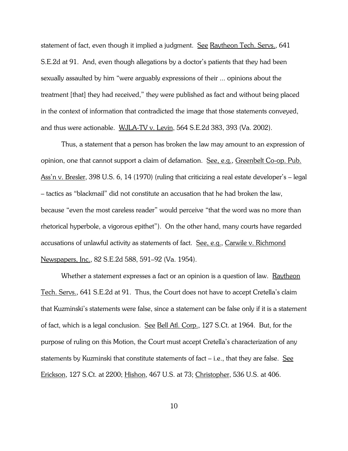statement of fact, even though it implied a judgment. See Raytheon Tech. Servs., 641 S.E.2d at 91. And, even though allegations by a doctor's patients that they had been sexually assaulted by him "were arguably expressions of their ... opinions about the treatment [that] they had received," they were published as fact and without being placed in the context of information that contradicted the image that those statements conveyed, and thus were actionable. WJLA-TV v. Levin, 564 S.E.2d 383, 393 (Va. 2002).

Thus, a statement that a person has broken the law may amount to an expression of opinion, one that cannot support a claim of defamation. See, e.g., Greenbelt Co-op. Pub. Ass'n v. Bresler, 398 U.S. 6, 14 (1970) (ruling that criticizing a real estate developer's – legal – tactics as "blackmail" did not constitute an accusation that he had broken the law, because "even the most careless reader" would perceive "that the word was no more than rhetorical hyperbole, a vigorous epithet"). On the other hand, many courts have regarded accusations of unlawful activity as statements of fact. See, e.g., Carwile v. Richmond Newspapers, Inc., 82 S.E.2d 588, 591–92 (Va. 1954).

Whether a statement expresses a fact or an opinion is a question of law. Raytheon Tech. Servs., 641 S.E.2d at 91. Thus, the Court does not have to accept Cretella's claim that Kuzminski's statements were false, since a statement can be false only if it is a statement of fact, which is a legal conclusion. See Bell Atl. Corp., 127 S.Ct. at 1964. But, for the purpose of ruling on this Motion, the Court must accept Cretella's characterization of any statements by Kuzminski that constitute statements of fact  $-$  i.e., that they are false. See Erickson, 127 S.Ct. at 2200; Hishon, 467 U.S. at 73; Christopher, 536 U.S. at 406.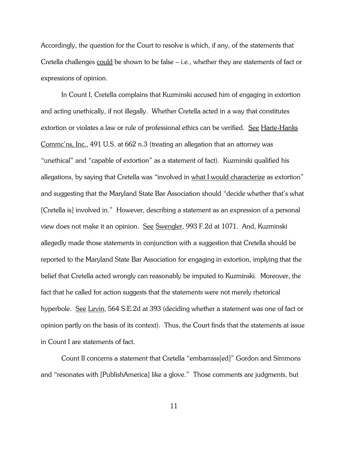Accordingly, the question for the Court to resolve is which, if any, of the statements that Cretella challenges could be shown to be false – i.e., whether they are statements of fact or expressions of opinion.

In Count I, Cretella complains that Kuzminski accused him of engaging in extortion and acting unethically, if not illegally. Whether Cretella acted in a way that constitutes extortion or violates a law or rule of professional ethics can be verified. See Harte-Hanks Commc'ns, Inc., 491 U.S. at 662 n.3 (treating an allegation that an attorney was "unethical" and "capable of extortion" as a statement of fact). Kuzminski qualified his allegations, by saying that Cretella was "involved in what I would characterize as extortion" and suggesting that the Maryland State Bar Association should "decide whether that's what [Cretella is] involved in." However, describing a statement as an expression of a personal view does not make it an opinion. See Swengler, 993 F.2d at 1071. And, Kuzminski allegedly made those statements in conjunction with a suggestion that Cretella should be reported to the Maryland State Bar Association for engaging in extortion, implying that the belief that Cretella acted wrongly can reasonably be imputed to Kuzminski. Moreover, the fact that he called for action suggests that the statements were not merely rhetorical hyperbole. See Levin, 564 S.E.2d at 393 (deciding whether a statement was one of fact or opinion partly on the basis of its context). Thus, the Court finds that the statements at issue in Count I are statements of fact.

Count II concerns a statement that Cretella "embarrass[ed]" Gordon and Simmons and "resonates with [PublishAmerica] like a glove." Those comments are judgments, but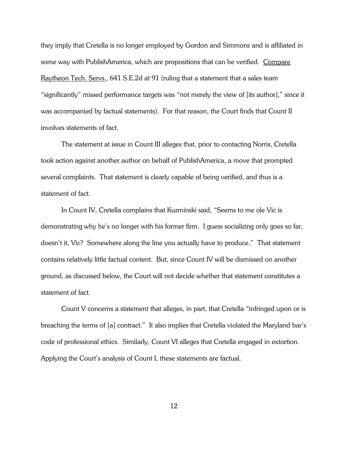they imply that Cretella is no longer employed by Gordon and Simmons and is affiliated in some way with PublishAmerica, which are propositions that can be verified. Compare Raytheon Tech. Servs., 641 S.E.2d at 91 (ruling that a statement that a sales team "significantly" missed performance targets was "not merely the view of [its author]," since it was accompanied by factual statements). For that reason, the Court finds that Count II involves statements of fact.

The statement at issue in Count III alleges that, prior to contacting Norris, Cretella took action against another author on behalf of PublishAmerica, a move that prompted several complaints. That statement is clearly capable of being verified, and thus is a statement of fact.

In Count IV, Cretella complains that Kuzminski said, "Seems to me ole Vic is demonstrating why he's no longer with his former firm. I guess socializing only goes so far, doesn't it, Vic? Somewhere along the line you actually have to produce." That statement contains relatively little factual content. But, since Count IV will be dismissed on another ground, as discussed below, the Court will not decide whether that statement constitutes a statement of fact.

Count V concerns a statement that alleges, in part, that Cretella "infringed upon or is breaching the terms of [a] contract." It also implies that Cretella violated the Maryland bar's code of professional ethics. Similarly, Count VI alleges that Cretella engaged in extortion. Applying the Court's analysis of Count I, these statements are factual.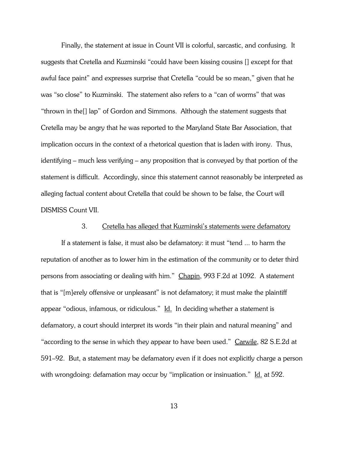Finally, the statement at issue in Count VII is colorful, sarcastic, and confusing. It suggests that Cretella and Kuzminski "could have been kissing cousins [] except for that awful face paint" and expresses surprise that Cretella "could be so mean," given that he was "so close" to Kuzminski. The statement also refers to a "can of worms" that was "thrown in the[] lap" of Gordon and Simmons. Although the statement suggests that Cretella may be angry that he was reported to the Maryland State Bar Association, that implication occurs in the context of a rhetorical question that is laden with irony. Thus, identifying – much less verifying – any proposition that is conveyed by that portion of the statement is difficult. Accordingly, since this statement cannot reasonably be interpreted as alleging factual content about Cretella that could be shown to be false, the Court will DISMISS Count VII.

## 3. Cretella has alleged that Kuzminski's statements were defamatory

If a statement is false, it must also be defamatory: it must "tend ... to harm the reputation of another as to lower him in the estimation of the community or to deter third persons from associating or dealing with him." Chapin, 993 F.2d at 1092. A statement that is "[m]erely offensive or unpleasant" is not defamatory; it must make the plaintiff appear "odious, infamous, or ridiculous." Id. In deciding whether a statement is defamatory, a court should interpret its words "in their plain and natural meaning" and "according to the sense in which they appear to have been used." Carwile, 82 S.E.2d at 591–92. But, a statement may be defamatory even if it does not explicitly charge a person with wrongdoing: defamation may occur by "implication or insinuation." Id. at 592.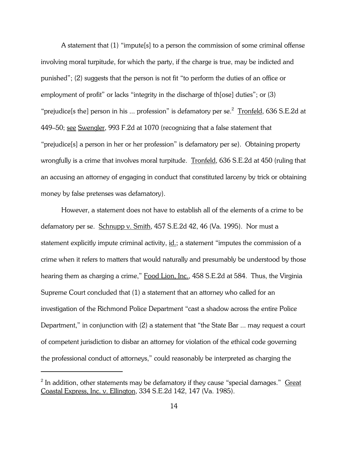A statement that (1) "impute[s] to a person the commission of some criminal offense involving moral turpitude, for which the party, if the charge is true, may be indicted and punished"; (2) suggests that the person is not fit "to perform the duties of an office or employment of profit" or lacks "integrity in the discharge of those duties"; or (3) "prejudice[s the] person in his ... profession" is defamatory per se. $2$  Tronfeld, 636 S.E.2d at 449–50; see Swengler, 993 F.2d at 1070 (recognizing that a false statement that "prejudice[s] a person in her or her profession" is defamatory per se). Obtaining property wrongfully is a crime that involves moral turpitude. Tronfeld, 636 S.E.2d at 450 (ruling that an accusing an attorney of engaging in conduct that constituted larceny by trick or obtaining money by false pretenses was defamatory).

However, a statement does not have to establish all of the elements of a crime to be defamatory per se. Schnupp v. Smith, 457 S.E.2d 42, 46 (Va. 1995). Nor must a statement explicitly impute criminal activity, id.; a statement "imputes the commission of a crime when it refers to matters that would naturally and presumably be understood by those hearing them as charging a crime," Food Lion, Inc., 458 S.E.2d at 584. Thus, the Virginia Supreme Court concluded that (1) a statement that an attorney who called for an investigation of the Richmond Police Department "cast a shadow across the entire Police Department," in conjunction with (2) a statement that "the State Bar ... may request a court of competent jurisdiction to disbar an attorney for violation of the ethical code governing the professional conduct of attorneys," could reasonably be interpreted as charging the

 $^{\rm 2}$  In addition, other statements may be defamatory if they cause "special damages."  $\rm \,$  Great Coastal Express, Inc. v. Ellington, 334 S.E.2d 142, 147 (Va. 1985).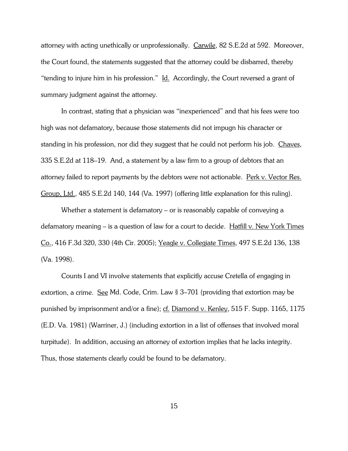attorney with acting unethically or unprofessionally. Carwile, 82 S.E.2d at 592. Moreover, the Court found, the statements suggested that the attorney could be disbarred, thereby "tending to injure him in his profession." Id. Accordingly, the Court reversed a grant of summary judgment against the attorney.

In contrast, stating that a physician was "inexperienced" and that his fees were too high was not defamatory, because those statements did not impugn his character or standing in his profession, nor did they suggest that he could not perform his job. Chaves, 335 S.E.2d at 118–19. And, a statement by a law firm to a group of debtors that an attorney failed to report payments by the debtors were not actionable. Perk v. Vector Res. Group, Ltd., 485 S.E.2d 140, 144 (Va. 1997) (offering little explanation for this ruling).

Whether a statement is defamatory – or is reasonably capable of conveying a defamatory meaning – is a question of law for a court to decide. Hatfill v. New York Times Co., 416 F.3d 320, 330 (4th Cir. 2005); Yeagle v. Collegiate Times, 497 S.E.2d 136, 138 (Va. 1998).

Counts I and VI involve statements that explicitly accuse Cretella of engaging in extortion, a crime. See Md. Code, Crim. Law § 3–701 (providing that extortion may be punished by imprisonment and/or a fine); cf. Diamond v. Kenley, 515 F. Supp. 1165, 1175 (E.D. Va. 1981) (Warriner, J.) (including extortion in a list of offenses that involved moral turpitude). In addition, accusing an attorney of extortion implies that he lacks integrity. Thus, those statements clearly could be found to be defamatory.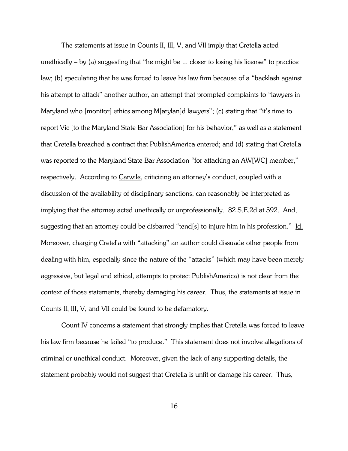The statements at issue in Counts II, III, V, and VII imply that Cretella acted unethically – by (a) suggesting that "he might be ... closer to losing his license" to practice law; (b) speculating that he was forced to leave his law firm because of a "backlash against his attempt to attack" another author, an attempt that prompted complaints to "lawyers in Maryland who [monitor] ethics among M[arylan]d lawyers"; (c) stating that "it's time to report Vic [to the Maryland State Bar Association] for his behavior," as well as a statement that Cretella breached a contract that PublishAmerica entered; and (d) stating that Cretella was reported to the Maryland State Bar Association "for attacking an AW[WC] member," respectively. According to Carwile, criticizing an attorney's conduct, coupled with a discussion of the availability of disciplinary sanctions, can reasonably be interpreted as implying that the attorney acted unethically or unprofessionally. 82 S.E.2d at 592. And, suggesting that an attorney could be disbarred "tend[s] to injure him in his profession." Id. Moreover, charging Cretella with "attacking" an author could dissuade other people from dealing with him, especially since the nature of the "attacks" (which may have been merely aggressive, but legal and ethical, attempts to protect PublishAmerica) is not clear from the context of those statements, thereby damaging his career. Thus, the statements at issue in Counts II, III, V, and VII could be found to be defamatory.

Count IV concerns a statement that strongly implies that Cretella was forced to leave his law firm because he failed "to produce." This statement does not involve allegations of criminal or unethical conduct. Moreover, given the lack of any supporting details, the statement probably would not suggest that Cretella is unfit or damage his career. Thus,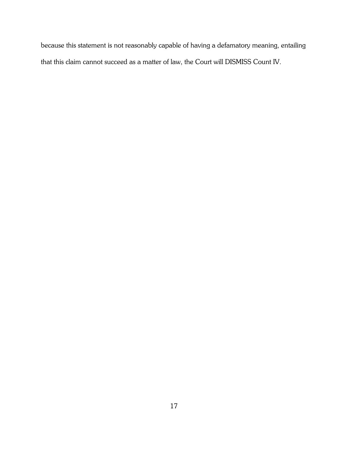because this statement is not reasonably capable of having a defamatory meaning, entailing that this claim cannot succeed as a matter of law, the Court will DISMISS Count IV.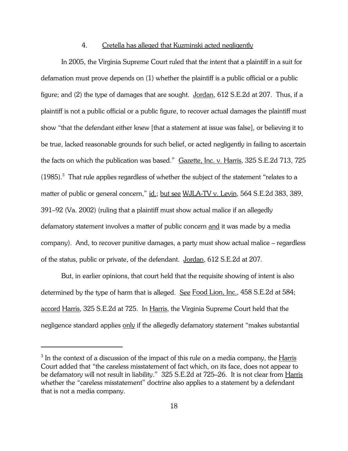#### 4. Cretella has alleged that Kuzminski acted negligently

In 2005, the Virginia Supreme Court ruled that the intent that a plaintiff in a suit for defamation must prove depends on (1) whether the plaintiff is a public official or a public figure; and (2) the type of damages that are sought. Jordan, 612 S.E.2d at 207. Thus, if a plaintiff is not a public official or a public figure, to recover actual damages the plaintiff must show "that the defendant either knew [that a statement at issue was false], or believing it to be true, lacked reasonable grounds for such belief, or acted negligently in failing to ascertain the facts on which the publication was based." Gazette, Inc. v. Harris, 325 S.E.2d 713, 725  $(1985).$ <sup>3</sup> That rule applies regardless of whether the subject of the statement "relates to a matter of public or general concern," id.; but see WJLA-TV v. Levin, 564 S.E.2d 383, 389, 391–92 (Va. 2002) (ruling that a plaintiff must show actual malice if an allegedly defamatory statement involves a matter of public concern and it was made by a media company). And, to recover punitive damages, a party must show actual malice – regardless of the status, public or private, of the defendant. Jordan, 612 S.E.2d at 207.

But, in earlier opinions, that court held that the requisite showing of intent is also determined by the type of harm that is alleged. See Food Lion, Inc., 458 S.E.2d at 584; accord Harris, 325 S.E.2d at 725. In Harris, the Virginia Supreme Court held that the negligence standard applies only if the allegedly defamatory statement "makes substantial

 $^3$  In the context of a discussion of the impact of this rule on a media company, the  $\underline{\text{Harris}}$ Court added that "the careless misstatement of fact which, on its face, does not appear to be defamatory will not result in liability." 325 S.E.2d at 725–26. It is not clear from Harris whether the "careless misstatement" doctrine also applies to a statement by a defendant that is not a media company.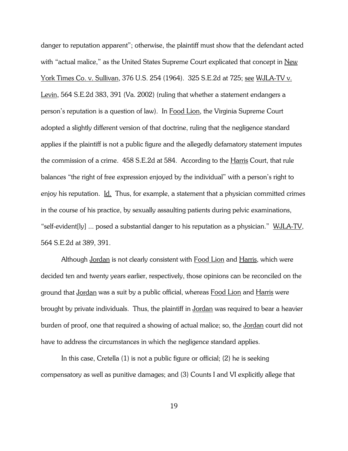danger to reputation apparent"; otherwise, the plaintiff must show that the defendant acted with "actual malice," as the United States Supreme Court explicated that concept in New York Times Co. v. Sullivan, 376 U.S. 254 (1964). 325 S.E.2d at 725; see WJLA-TV v. Levin, 564 S.E.2d 383, 391 (Va. 2002) (ruling that whether a statement endangers a person's reputation is a question of law). In Food Lion, the Virginia Supreme Court adopted a slightly different version of that doctrine, ruling that the negligence standard applies if the plaintiff is not a public figure and the allegedly defamatory statement imputes the commission of a crime. 458 S.E.2d at 584. According to the Harris Court, that rule balances "the right of free expression enjoyed by the individual" with a person's right to enjoy his reputation. Id. Thus, for example, a statement that a physician committed crimes in the course of his practice, by sexually assaulting patients during pelvic examinations, "self-evident[ly] ... posed a substantial danger to his reputation as a physician." WJLA-TV, 564 S.E.2d at 389, 391.

Although Jordan is not clearly consistent with Food Lion and Harris, which were decided ten and twenty years earlier, respectively, those opinions can be reconciled on the ground that Jordan was a suit by a public official, whereas Food Lion and Harris were brought by private individuals. Thus, the plaintiff in Jordan was required to bear a heavier burden of proof, one that required a showing of actual malice; so, the Jordan court did not have to address the circumstances in which the negligence standard applies.

In this case, Cretella (1) is not a public figure or official; (2) he is seeking compensatory as well as punitive damages; and (3) Counts I and VI explicitly allege that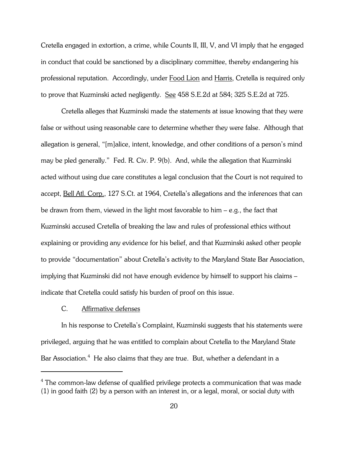Cretella engaged in extortion, a crime, while Counts II, III, V, and VI imply that he engaged in conduct that could be sanctioned by a disciplinary committee, thereby endangering his professional reputation. Accordingly, under Food Lion and Harris, Cretella is required only to prove that Kuzminski acted negligently. See 458 S.E.2d at 584; 325 S.E.2d at 725.

Cretella alleges that Kuzminski made the statements at issue knowing that they were false or without using reasonable care to determine whether they were false. Although that allegation is general, "[m]alice, intent, knowledge, and other conditions of a person's mind may be pled generally." Fed. R. Civ. P. 9(b). And, while the allegation that Kuzminski acted without using due care constitutes a legal conclusion that the Court is not required to accept, Bell Atl. Corp., 127 S.Ct. at 1964, Cretella's allegations and the inferences that can be drawn from them, viewed in the light most favorable to him – e.g., the fact that Kuzminski accused Cretella of breaking the law and rules of professional ethics without explaining or providing any evidence for his belief, and that Kuzminski asked other people to provide "documentation" about Cretella's activity to the Maryland State Bar Association, implying that Kuzminski did not have enough evidence by himself to support his claims – indicate that Cretella could satisfy his burden of proof on this issue.

#### C. Affirmative defenses

In his response to Cretella's Complaint, Kuzminski suggests that his statements were privileged, arguing that he was entitled to complain about Cretella to the Maryland State Bar Association. $^4\,$  He also claims that they are true. But, whether a defendant in a

 $^4$  The common-law defense of qualified privilege protects a communication that was made (1) in good faith (2) by a person with an interest in, or a legal, moral, or social duty with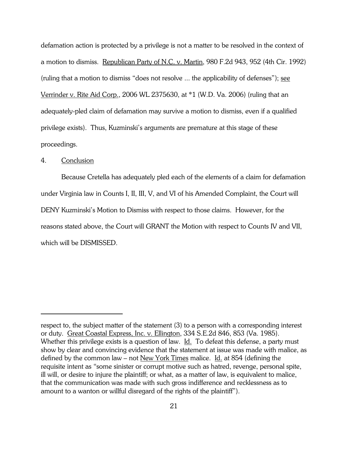defamation action is protected by a privilege is not a matter to be resolved in the context of a motion to dismiss. Republican Party of N.C. v. Martin, 980 F.2d 943, 952 (4th Cir. 1992) (ruling that a motion to dismiss "does not resolve ... the applicability of defenses"); see Verrinder v. Rite Aid Corp., 2006 WL 2375630, at \*1 (W.D. Va. 2006) (ruling that an adequately-pled claim of defamation may survive a motion to dismiss, even if a qualified privilege exists). Thus, Kuzminski's arguments are premature at this stage of these proceedings.

## 4. Conclusion

Because Cretella has adequately pled each of the elements of a claim for defamation under Virginia law in Counts I, II, III, V, and VI of his Amended Complaint, the Court will DENY Kuzminski's Motion to Dismiss with respect to those claims. However, for the reasons stated above, the Court will GRANT the Motion with respect to Counts IV and VII, which will be DISMISSED.

respect to, the subject matter of the statement (3) to a person with a corresponding interest or duty. Great Coastal Express, Inc. v. Ellington, 334 S.E.2d 846, 853 (Va. 1985). Whether this privilege exists is a question of law. Id. To defeat this defense, a party must show by clear and convincing evidence that the statement at issue was made with malice, as defined by the common law – not New York Times malice. Id. at 854 (defining the requisite intent as "some sinister or corrupt motive such as hatred, revenge, personal spite, ill will, or desire to injure the plaintiff; or what, as a matter of law, is equivalent to malice, that the communication was made with such gross indifference and recklessness as to amount to a wanton or willful disregard of the rights of the plaintiff").